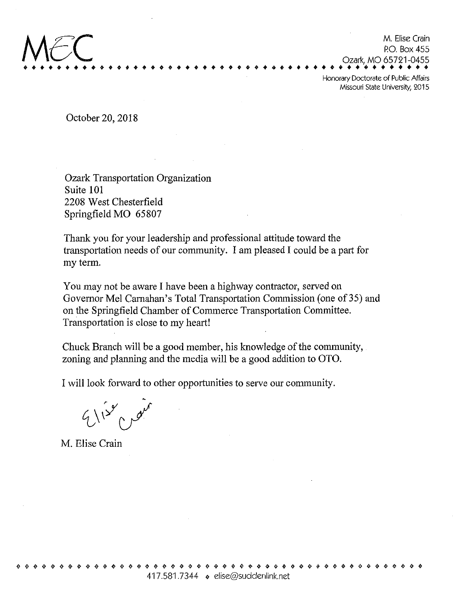October20,2018

Ozark Transportation Organization Suite 101 2208 West Chesterfield SpringfieldMO 65807

•\*»»\*•»\* » »\* \* \* »»•

Thank you for your leadership and professional attitude toward the traasportation needs of our community. <sup>I</sup> am pleased I could be a part for my term.

M. Elise Crain RO. Box 455

««\*»«\*«»»«•\*•\*»

Ozark,MO 65721-0455

\* <sup>0</sup> ^ \* ^ ^ ^

Honorary Doctorate of Public Affairs Missouri State University, 2015

You may not be aware I have been a highway contractor, served on Governor Mel Carnahan's Total Transportation Commission (one of 35) and on the Springfield Chamber of Commerce Transportation Committee. Transportation is close to my heart!

Chuck Branch will be a good member, his knowledge of the community, zoning and planning and the media will be a good addition to OTO.

I will look forward to other opportunities to serve our community.

 $9/12^{8}$  p 10

M. Elise Crain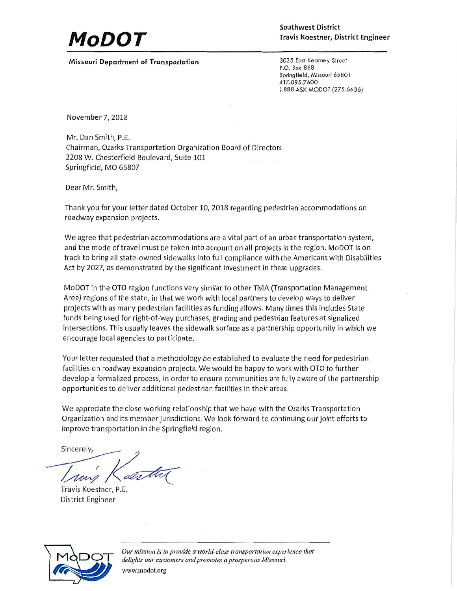## MoDOʻ

Southwest District Travis Koestner, District Engineer

Missouri Department of Transportation 3025 East Kearney Street

P.0. Box 868 Springfieid, Missouri 65801 417.895.7600 1.888.ASK MODOT (275.6636)

November7,2018

Mr. DanSmith, P.E. Chairman, Ozarks Transportation Organization Board of Directors 2208 W. Chesterfield Boulevard, Suite 101 Springfield, MO 65807

Dear Mr. Smith,

Thank you for your letter dated October 10, 2018 regarding pedestrian accommodations on roadway expansion projects.

We agree that pedestrian accommodations are a vital part of an urban transportation system, and the mode of travel must be taken into account on all projects in the region. MoDOT is on track to bring all state-owned sidewalks into full compliance with the Americans with Disabilities Act by 2027, as demonstrated by the significant investment in these upgrades.

MoDOT in the OTO region functions very similar to other TMA (Transportation Management Area) regions of the state, in that we work with local partners to develop ways to deliver projects with as many pedestrian facilities as funding allows. Many times this includes State funds being used for right-of-way purchases, grading and pedestrian features at signalized intersections. This usually leaves the sidewalk surface as <sup>a</sup> partnership opportunity in which we encourage local agencies to participate.

Your letter requested that <sup>a</sup> methodology be established to evaluate the need for pedestrian facilities on roadway expansion projects. We would be happy to work with OTO to further develop a formalized process, in order to ensure communities are fully aware of the partnership opportunities to deliver additional pedestrian facilities in their areas.

We appreciate the close working relationship that we have with the Ozarks Transportation Organization and its member jurisdictions. We look forward to continuing our joint efforts to improve transportation in the Springfield region.

Sincerely,

/^Ut^y

Travis Koestner, P.E. District Engineer



Our mission is to provide a world-class transportation experience that delights our customers and promotes a prosperous Missouri. www.modot.org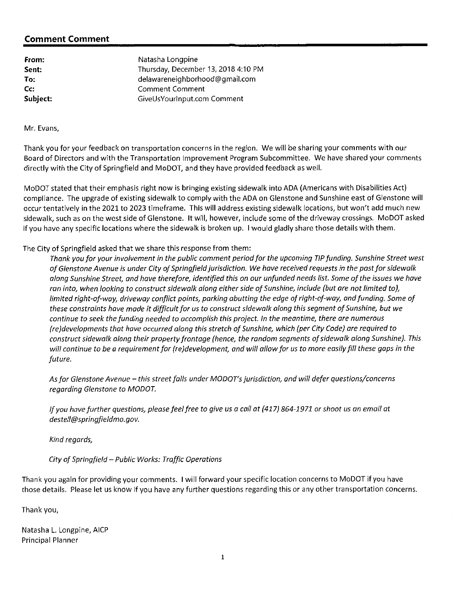## Comment Comment

| Natasha Longpine                    |
|-------------------------------------|
| Thursday, December 13, 2018 4:10 PM |
| delawareneighborhood@gmail.com      |
| <b>Comment Comment</b>              |
| GiveUsYourInput.com Comment         |
|                                     |

Mr.Evans,

Thank you for your feedback on transportation concerns in the region. We will be sharing your comments with our Board of Directors and with the Transportation Improvement Program Subcommittee. We have shared your comments directly with the City of Springfield and MoDOT, and they have provided feedback as well.

MoDOT stated that their emphasis right now is bringing existing sidewalk into ADA (Americans with Disabilities Act) compliance. The upgrade of existing sidewalk to comply with the ADA on Glenstone and Sunshine east of Glenstone will occur tentatively in the 2021 to 2023 timeframe. This will address existing sidewalk locations, but won't add much new sidewalk, such as on the west side of Glenstone. It will, however, include some of the driveway crossings. MoDOT asked if you have any specific locations where the sidewalk is broken up. <sup>1</sup> would gladly share those details with them.

## The City of Springfield asked that we share this response from them:

Thank you for your involvement in the public comment period for the upcoming TIP funding. Sunshine Street west of Glenstone Avenue is under City of Springfield jurisdiction. We have received requests in the past for sidewalk along Sunshine Street, and have therefore, identified this on our unfunded needs list. Some of the issues we have ran into, when looking to construct sidewalk along either side of Sunshine, include (but are not limited to), limited right-of-way, driveway conflict points, parking abutting the edge of right-of-way, and funding. Some of these constraints have made it difficult for us to construct sidewalk along this segment of Sunshine, but we continue to seek the funding needed to accomplish this project. In the meantime, there are numerous (re)developments that have occurred along this stretch of Sunshine, which (per City Code) are required to construct sidewalk along their property frontage (hence, the random segments of sidewalk along Sunshine). This will continue to be a requirement for (re)development, and will allow for us to more easily fill these gaps in the future.

As for Glenstone Avenue - this street falls under MODOT's jurisdiction, and will defer questions/concerns regarding Glenstone to MODOT.

If you have further questions, please feel free to give us a call at (417) 864-1971 or shoot us an email at destell@springfieldmo.gov.

Kind regards,

City of Springfield - Public Works: Traffic Operations

Thank you again for providing your comments. I will forward your specific location concerns to MoDOT if you have those details. Please let us know if you have any further questions regarding this or any other transportation concerns.

Thankyou,

Natasha L. Longpine, AICP Principal Planner